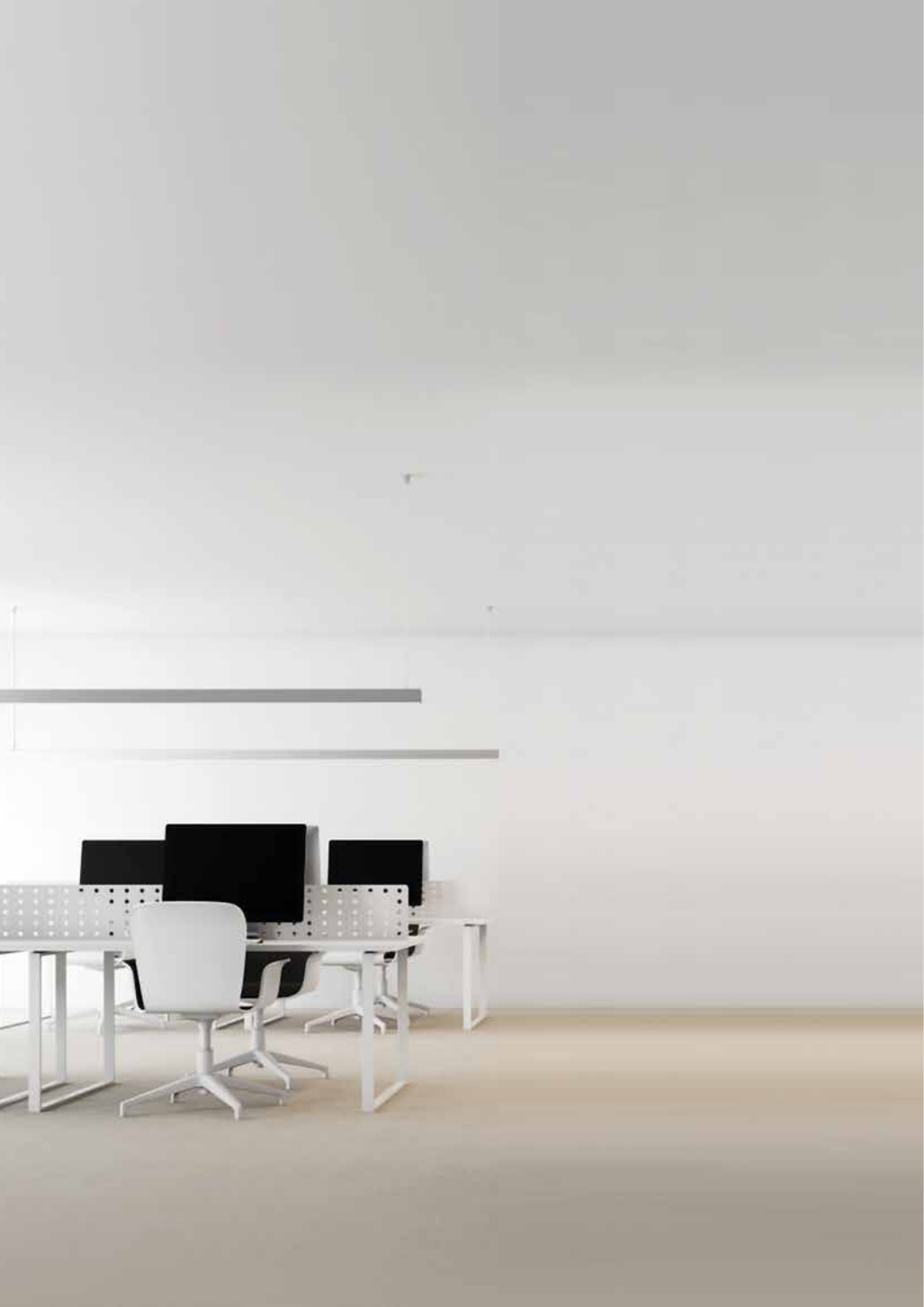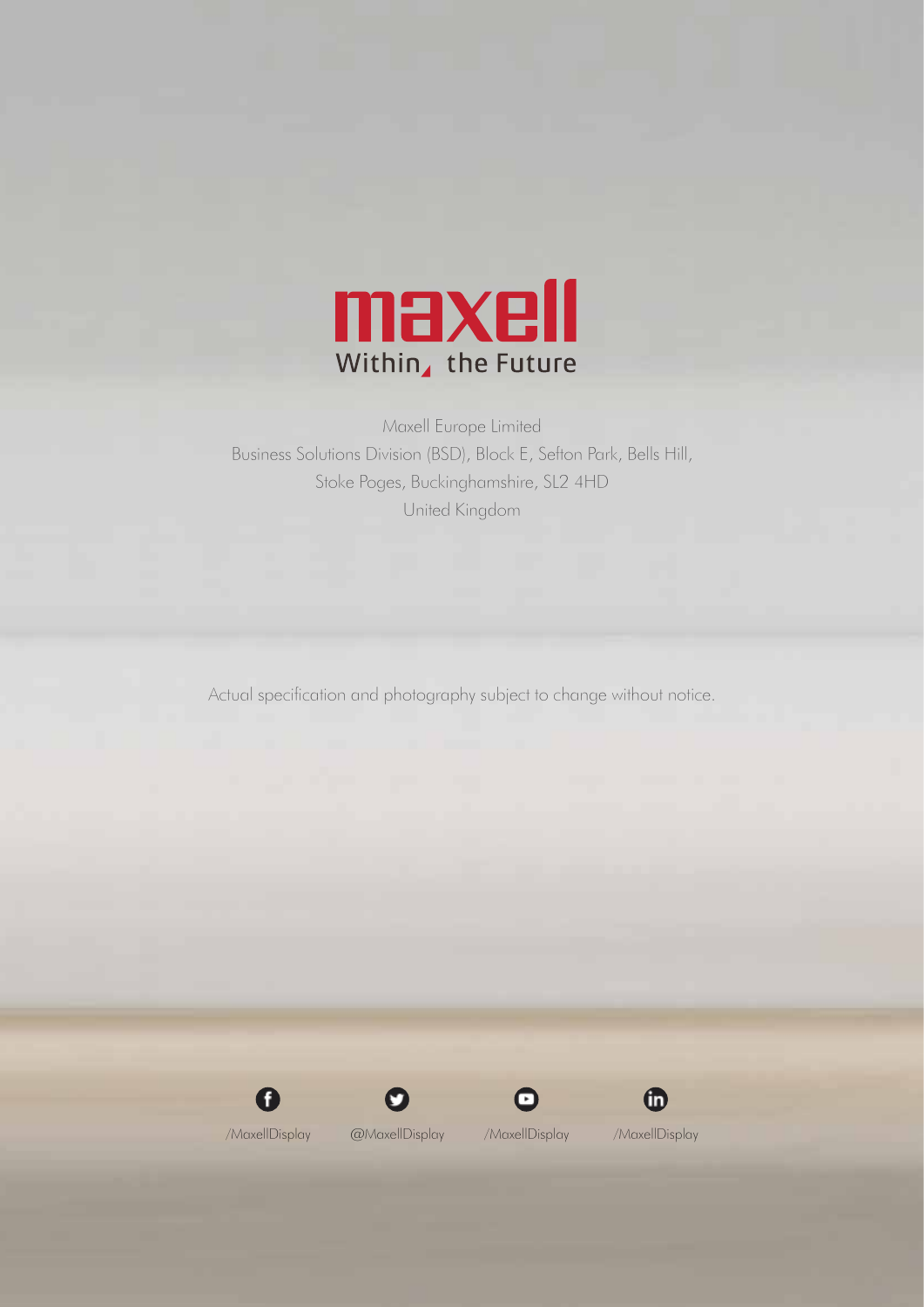

Maxell Europe Limited Business Solutions Division (BSD), Block E, Sefton Park, Bells Hill, Stoke Poges, Buckinghamshire, SL2 4HD United Kingdom

Actual specification and photography subject to change without notice.



 $\bullet$ 

 $\boldsymbol{\Theta}$ 

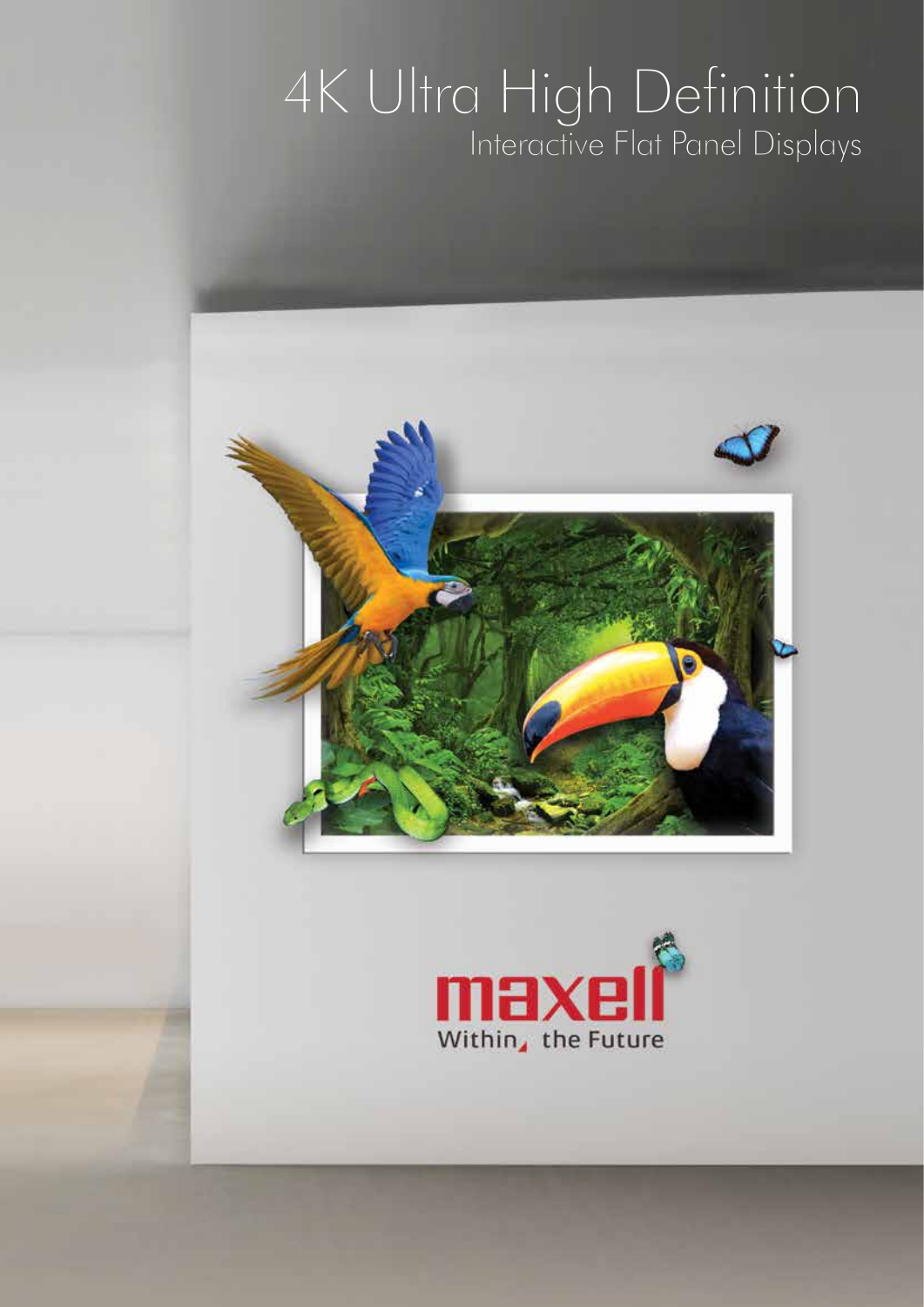## 4K Ultra High Definition Interactive Flat Panel Displays



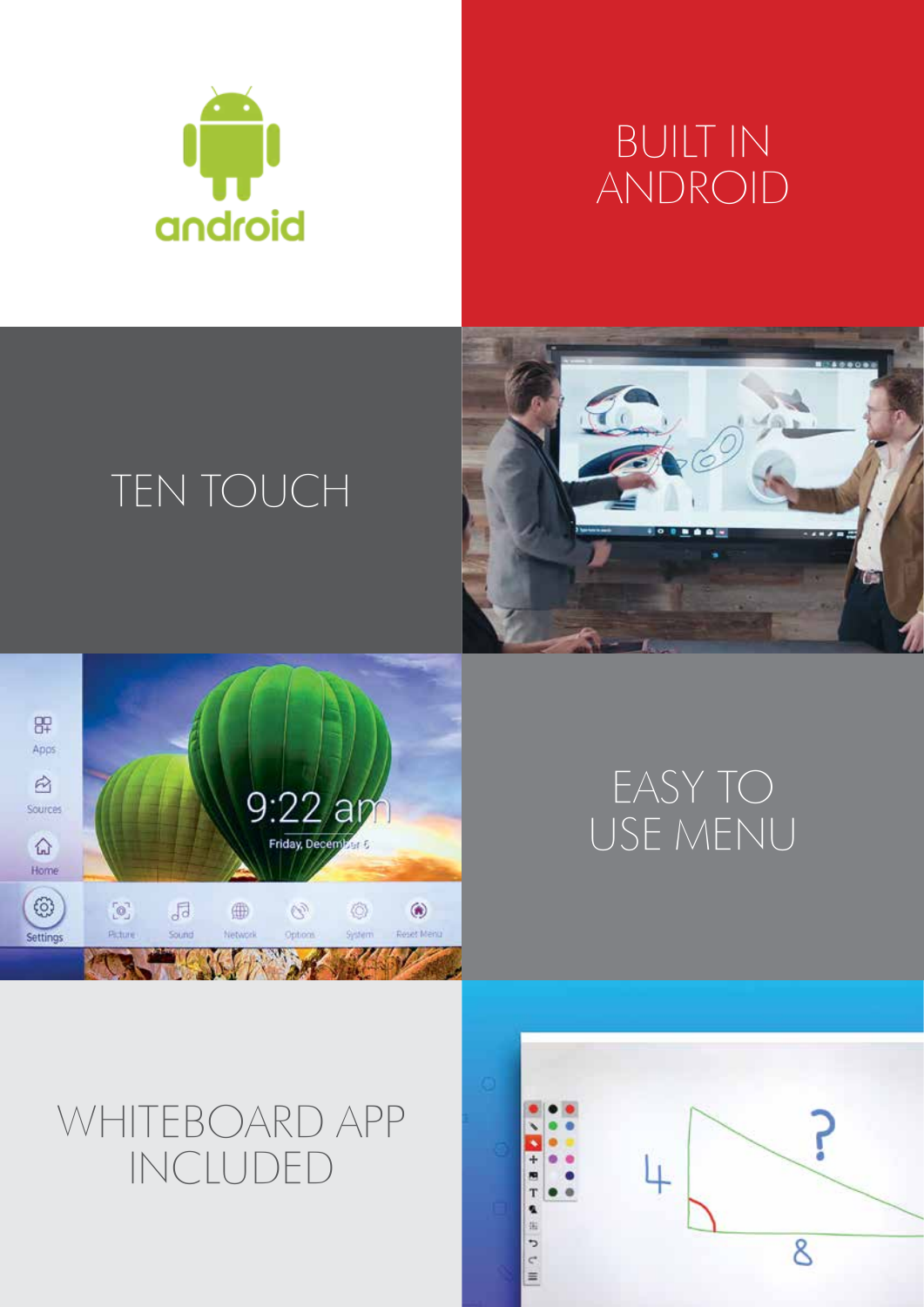

## BUILT IN ANDROID

# TEN TOUCH



## EASY TO USE MENU

## WHITEBOARD APP INCLUDED

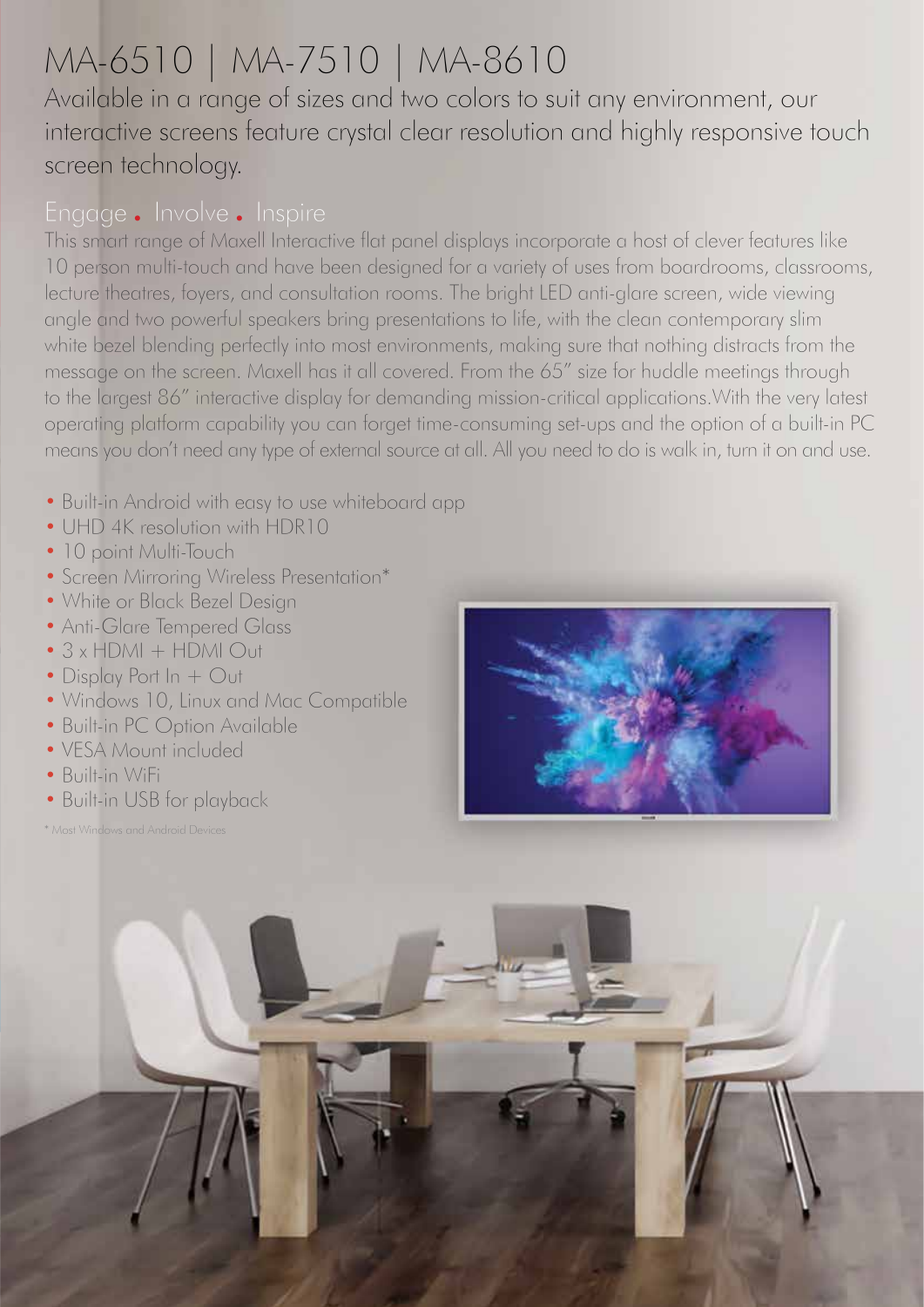## MA-6510 | MA-7510 | MA-8610

Available in a range of sizes and two colors to suit any environment, our interactive screens feature crystal clear resolution and highly responsive touch screen technology.

### Engage. Involve. Inspire

This smart range of Maxell Interactive flat panel displays incorporate a host of clever features like 10 person multi-touch and have been designed for a variety of uses from boardrooms, classrooms, lecture theatres, foyers, and consultation rooms. The bright LED anti-glare screen, wide viewing angle and two powerful speakers bring presentations to life, with the clean contemporary slim white bezel blending perfectly into most environments, making sure that nothing distracts from the message on the screen. Maxell has it all covered. From the 65" size for huddle meetings through to the largest 86" interactive display for demanding mission-critical applications.With the very latest operating platform capability you can forget time-consuming set-ups and the option of a built-in PC means you don't need any type of external source at all. All you need to do is walk in, turn it on and use.

- Built-in Android with easy to use whiteboard app
- UHD 4K resolution with HDR10
- 10 point Multi-Touch
- Screen Mirroring Wireless Presentation\*
- White or Black Bezel Design
- Anti-Glare Tempered Glass
- $\bullet$  3 x HDMI + HDMI Out
- $\bullet$  Display Port In  $+$  Out
- Windows 10, Linux and Mac Compatible
- Built-in PC Option Available
- VESA Mount included
- Built-in WiFi
- Built-in USB for playback

\* Most Windows and Android Devices

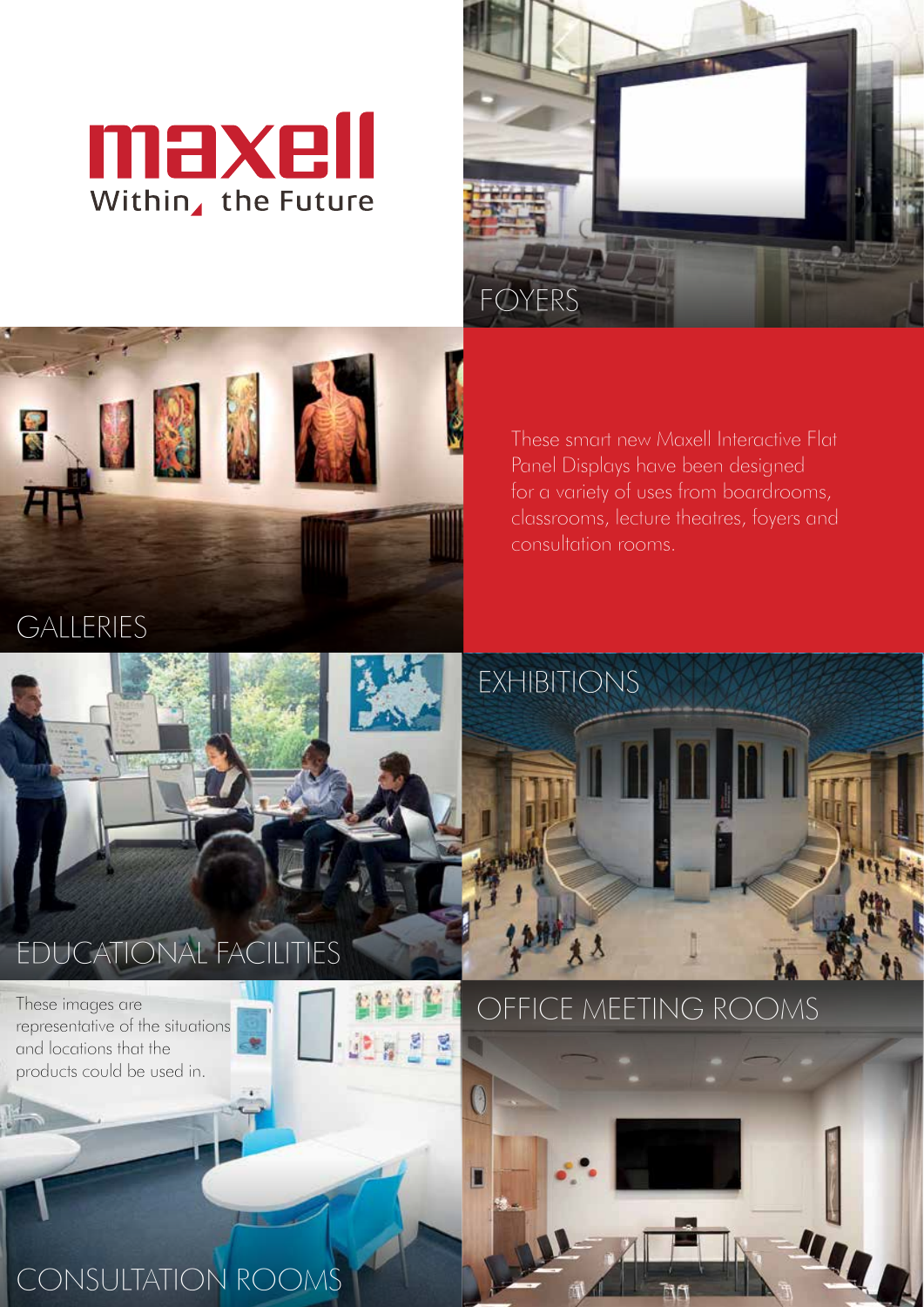





These smart new Maxell Interactive Flat Panel Displays have been designed for a variety of uses from boardrooms, classrooms, lecture theatres, foyers and consultation rooms.

### GALLERIES



representative of the situations and locations that the products could be used in.



 $\overline{\mathbf{g}}$ 

Г

### These images are **The set of the set of the set of the set of the set of the set of the set of the set of the set of the set of the set of the set of the set of the set of the set of the set of the set of the set of the se**

 $33$ 

EXHIBITIONS

CONSULTATION ROOMS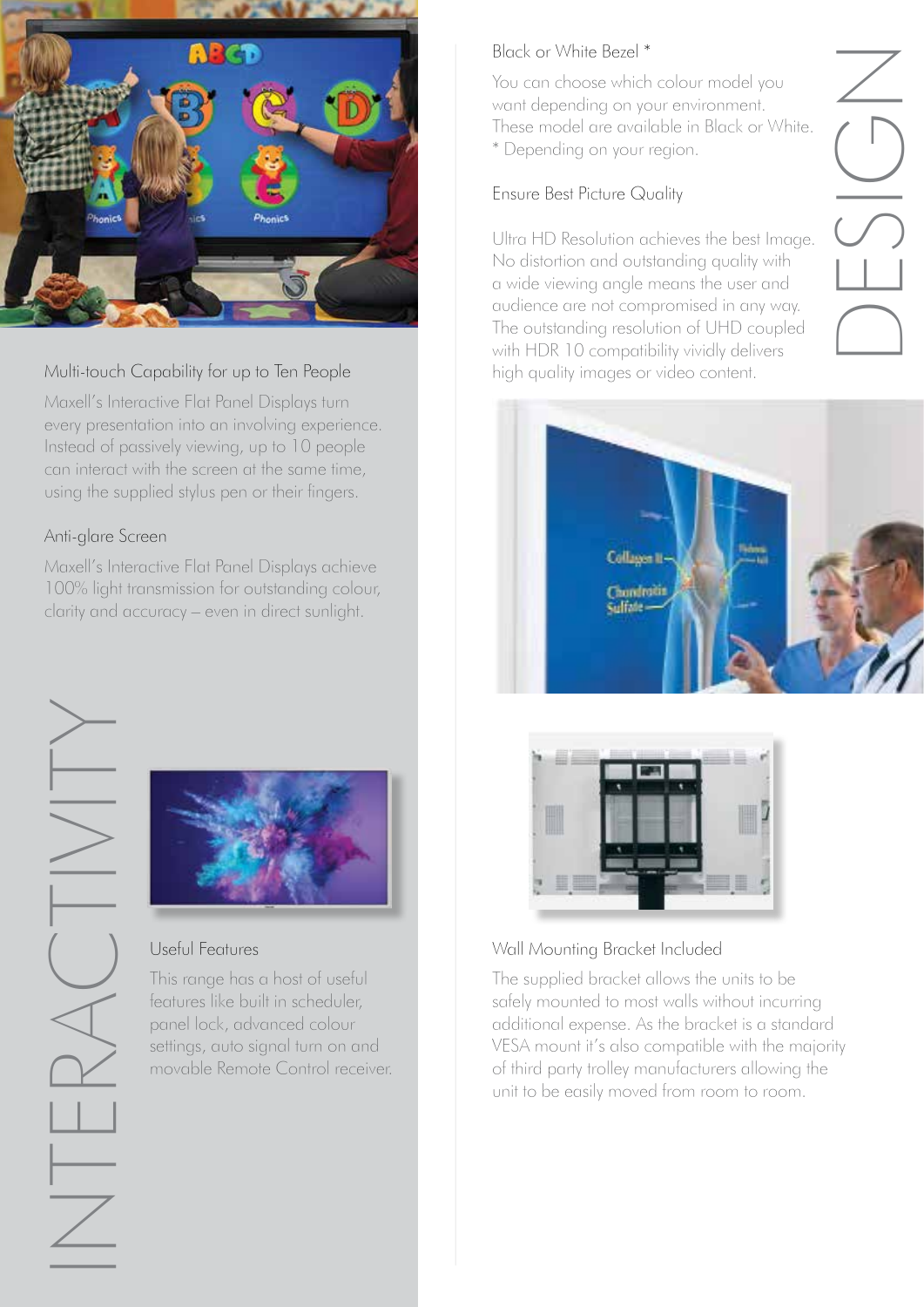

#### Multi-touch Capability for up to Ten People

Maxell's Interactive Flat Panel Displays turn every presentation into an involving experience. Instead of passively viewing, up to 10 people can interact with the screen at the same time, using the supplied stylus pen or their fingers.

#### Anti-glare Screen

Maxell's Interactive Flat Panel Displays achieve 100% light transmission for outstanding colour, clarity and accuracy – even in direct sunlight.



#### Useful Features

This range has a host of useful features like built in scheduler, panel lock, advanced colour settings, auto signal turn on and movable Remote Control receiver.

#### Black or White Bezel \*

You can choose which colour model you want depending on your environment. These model are available in Black or White. \* Depending on your region.

#### Ensure Best Picture Quality

Ultra HD Resolution achieves the best Image. No distortion and outstanding quality with a wide viewing angle means the user and audience are not compromised in any way. The outstanding resolution of UHD coupled with HDR 10 compatibility vividly delivers high quality images or video content.







#### Wall Mounting Bracket Included

The supplied bracket allows the units to be safely mounted to most walls without incurring additional expense. As the bracket is a standard VESA mount it's also compatible with the majority of third party trolley manufacturers allowing the unit to be easily moved from room to room.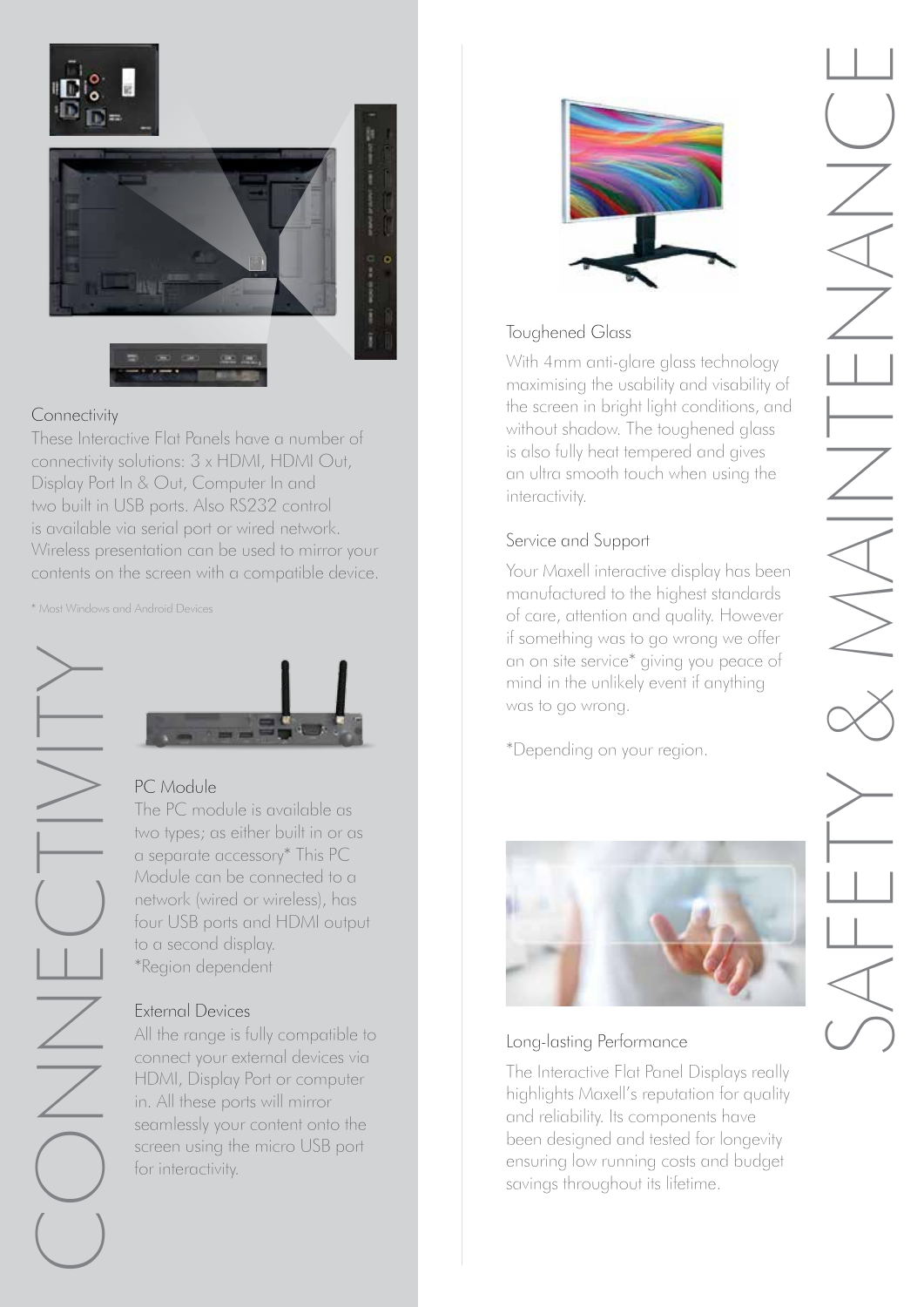

#### **Connectivity**

CONNECTIVITY

These Interactive Flat Panels have a number of connectivity solutions: 3 x HDMI, HDMI Out, Display Port In & Out, Computer In and two built in USB ports. Also RS232 control is available via serial port or wired network. Wireless presentation can be used to mirror your contents on the screen with a compatible device.

\* Most Windows and Android Devices



#### PC Module

The PC module is available as two types; as either built in or as a separate accessory\* This PC Module can be connected to a network (wired or wireless), has four USB ports and HDMI output to a second display. \*Region dependent

#### External Devices

All the range is fully compatible to connect your external devices via HDMI, Display Port or computer in. All these ports will mirror seamlessly your content onto the screen using the micro USB port for interactivity.



#### Toughened Glass

With 4mm anti-glare glass technology maximising the usability and visability of the screen in bright light conditions, and without shadow. The toughened glass is also fully heat tempered and gives an ultra smooth touch when using the interactivity.

#### Service and Support

Your Maxell interactive display has been manufactured to the highest standards of care, attention and quality. However if something was to go wrong we offer an on site service\* giving you peace of mind in the unlikely event if anything was to go wrong.

\*Depending on your region.



#### Long-lasting Performance

The Interactive Flat Panel Displays really highlights Maxell's reputation for quality and reliability. Its components have been designed and tested for longevity ensuring low running costs and budget savings throughout its lifetime.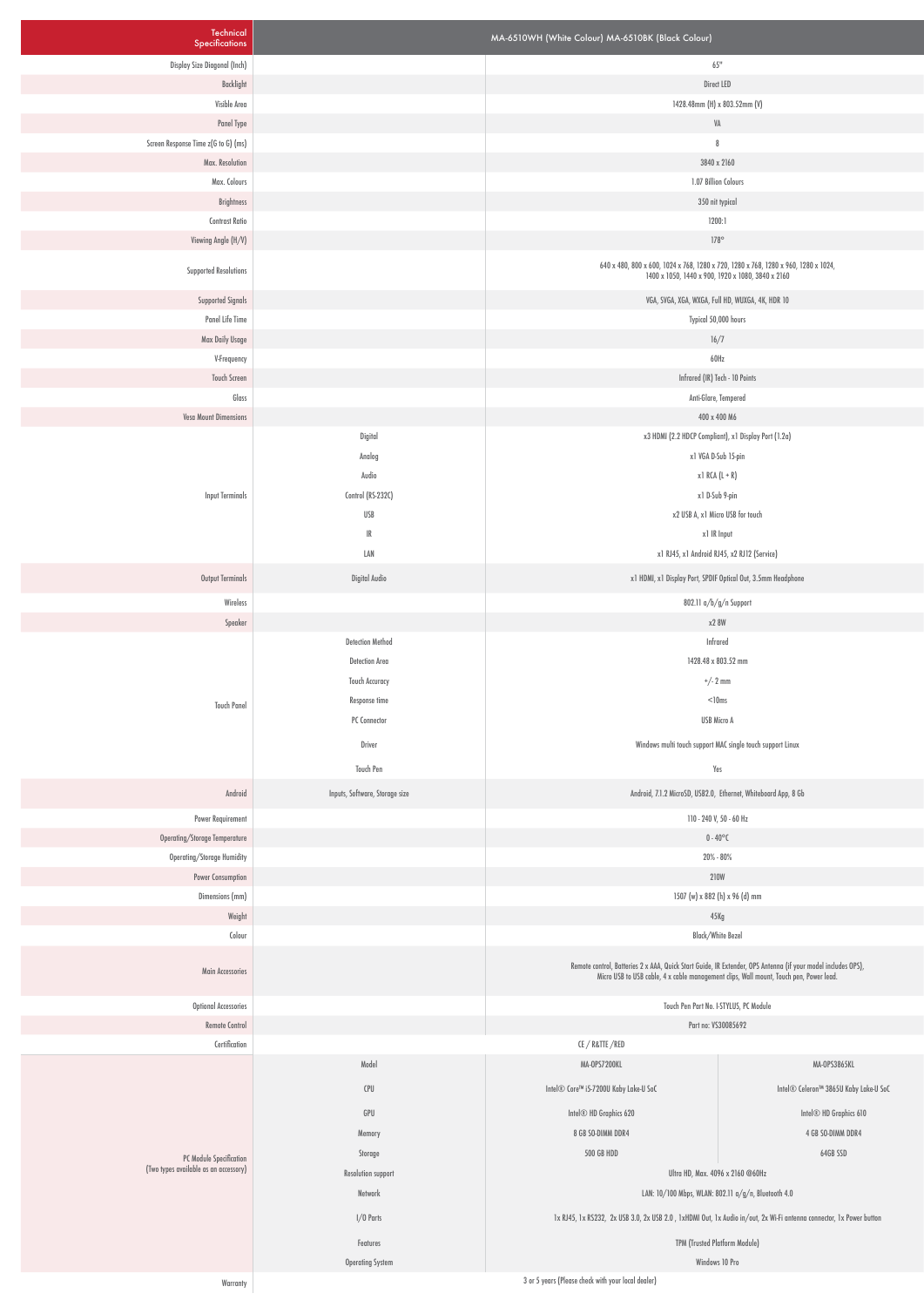| Technical<br><b>Specifications</b>                               | MA-6510WH (White Colour) MA-6510BK (Black Colour) |                                                                                                                                                                                                        |                                             |  |
|------------------------------------------------------------------|---------------------------------------------------|--------------------------------------------------------------------------------------------------------------------------------------------------------------------------------------------------------|---------------------------------------------|--|
| Display Size Diagonal (Inch)                                     |                                                   | 65"                                                                                                                                                                                                    |                                             |  |
| Backlight                                                        |                                                   | Direct LED                                                                                                                                                                                             |                                             |  |
| Visible Area                                                     |                                                   | 1428.48mm (H) x 803.52mm (V)                                                                                                                                                                           |                                             |  |
| Panel Type                                                       |                                                   | VA                                                                                                                                                                                                     |                                             |  |
| Screen Response Time z(G to G) (ms)                              |                                                   | 8                                                                                                                                                                                                      |                                             |  |
| Max. Resolution                                                  |                                                   | 3840 x 2160                                                                                                                                                                                            |                                             |  |
| Brightness                                                       | Max. Colours<br>1.07 Billion Colours              |                                                                                                                                                                                                        |                                             |  |
| <b>Contrast Ratio</b>                                            |                                                   | 350 nit typical<br>1200:1                                                                                                                                                                              |                                             |  |
| Viewing Angle (H/V)                                              |                                                   | $178^{\circ}$                                                                                                                                                                                          |                                             |  |
| <b>Supported Resolutions</b>                                     |                                                   | 640 x 480, 800 x 600, 1024 x 768, 1280 x 720, 1280 x 768, 1280 x 960, 1280 x 1024,<br>1400 x 1050, 1440 x 900, 1920 x 1080, 3840 x 2160                                                                |                                             |  |
| Supported Signals                                                |                                                   | VGA, SVGA, XGA, WXGA, Full HD, WUXGA, 4K, HDR 10                                                                                                                                                       |                                             |  |
| Panel Life Time                                                  |                                                   | Typical 50,000 hours                                                                                                                                                                                   |                                             |  |
| Max Daily Usage                                                  |                                                   | 16/7                                                                                                                                                                                                   |                                             |  |
| V-Frequency                                                      |                                                   | 60Hz                                                                                                                                                                                                   |                                             |  |
| <b>Touch Screen</b>                                              |                                                   | Infrared (IR) Tech - 10 Points                                                                                                                                                                         |                                             |  |
| Glass                                                            | Anti-Glare, Tempered                              |                                                                                                                                                                                                        |                                             |  |
| <b>Vesa Mount Dimensions</b>                                     |                                                   | 400 x 400 M6                                                                                                                                                                                           |                                             |  |
| <b>Input Terminals</b>                                           | Digital                                           | x3 HDMI (2.2 HDCP Compliant), x1 Display Port (1.2a)                                                                                                                                                   |                                             |  |
|                                                                  | Analog                                            | x1 VGA D-Sub 15-pin                                                                                                                                                                                    |                                             |  |
|                                                                  | Audio                                             | $x1$ RCA $(L + R)$<br>x1 D-Sub 9-pin                                                                                                                                                                   |                                             |  |
|                                                                  | Control (RS-232C)<br>USB                          | x2 USB A, x1 Micro USB for touch                                                                                                                                                                       |                                             |  |
|                                                                  | IR                                                | x1 IR Input                                                                                                                                                                                            |                                             |  |
|                                                                  | LAN                                               | x1 RJ45, x1 Android RJ45, x2 RJ12 (Service)                                                                                                                                                            |                                             |  |
| Output Terminals                                                 | Digital Audio                                     | x1 HDMI, x1 Display Port, SPDIF Optical Out, 3.5mm Headphone                                                                                                                                           |                                             |  |
|                                                                  |                                                   |                                                                                                                                                                                                        |                                             |  |
| Wireless<br>Speaker                                              |                                                   | 802.11 a/b/g/n Support                                                                                                                                                                                 |                                             |  |
|                                                                  | <b>Detection Method</b>                           | x28W<br>Infrared                                                                                                                                                                                       |                                             |  |
|                                                                  | <b>Detection Area</b>                             | 1428.48 x 803.52 mm                                                                                                                                                                                    |                                             |  |
| <b>Touch Panel</b>                                               | <b>Touch Accuracy</b>                             | $+/- 2$ mm                                                                                                                                                                                             |                                             |  |
|                                                                  | Response time                                     | $<$ 10 $ms$                                                                                                                                                                                            |                                             |  |
|                                                                  | PC Connector                                      | <b>USB Micro A</b>                                                                                                                                                                                     |                                             |  |
|                                                                  | Driver                                            | Windows multi touch support MAC single touch support Linux                                                                                                                                             |                                             |  |
|                                                                  |                                                   |                                                                                                                                                                                                        |                                             |  |
|                                                                  | <b>Touch Pen</b>                                  | Yes                                                                                                                                                                                                    |                                             |  |
| Android                                                          | Inputs, Software, Storage size                    | Android, 7.1.2 MicroSD, USB2.0, Ethernet, Whiteboard App, 8 Gb                                                                                                                                         |                                             |  |
| Power Requirement                                                |                                                   | 110 - 240 V, 50 - 60 Hz                                                                                                                                                                                |                                             |  |
| Operating/Storage Temperature                                    |                                                   | $0 - 40^{\circ}$ C                                                                                                                                                                                     |                                             |  |
| Operating/Storage Humidity                                       |                                                   | $20\% - 80\%$                                                                                                                                                                                          |                                             |  |
| Power Consumption                                                |                                                   | 210W                                                                                                                                                                                                   |                                             |  |
| Dimensions (mm)                                                  |                                                   | 1507 (w) x 882 (h) x 96 (d) mm                                                                                                                                                                         |                                             |  |
| Weight<br>Colour                                                 |                                                   | 45Kg                                                                                                                                                                                                   |                                             |  |
|                                                                  |                                                   | Black/White Bezel                                                                                                                                                                                      |                                             |  |
| Main Accessories                                                 |                                                   | Remote control, Batteries 2 x AAA, Quick Start Guide, IR Extender, OPS Antenna (if your model includes OPS),<br>Micro USB to USB coble, 4 x cable management clips, Wall mount, Touch pen, Power lead. |                                             |  |
| Optional Accessories                                             |                                                   | Touch Pen Part No. I-STYLUS, PC Module                                                                                                                                                                 |                                             |  |
| Remote Control                                                   |                                                   | Part no: VS30085692                                                                                                                                                                                    |                                             |  |
| Certification                                                    |                                                   | CE / R&TTE /RED                                                                                                                                                                                        |                                             |  |
|                                                                  | Model                                             | MA-0PS7200KL                                                                                                                                                                                           | MA-OPS3865KL                                |  |
|                                                                  | CPU                                               | Intel® Core™ i5-7200U Kaby Lake-U SoC                                                                                                                                                                  | Intel® Celeron™ 3865U Kaby Lake-U SoC       |  |
|                                                                  |                                                   |                                                                                                                                                                                                        |                                             |  |
| PC Module Specification<br>(Two types available as an accessory) | GPU                                               | Intel® HD Graphics 620<br>8 GB SO-DIMM DDR4                                                                                                                                                            | Intel® HD Graphics 610<br>4 GB SO-DIMM DDR4 |  |
|                                                                  | Memory                                            | <b>500 GB HDD</b>                                                                                                                                                                                      | 64GB SSD                                    |  |
|                                                                  | Storage                                           |                                                                                                                                                                                                        |                                             |  |
|                                                                  | Resolution support<br>Network                     | Ultra HD, Max. 4096 x 2160 @60Hz                                                                                                                                                                       |                                             |  |
|                                                                  |                                                   | LAN: 10/100 Mbps, WLAN: 802.11 a/g/n, Bluetooth 4.0                                                                                                                                                    |                                             |  |
|                                                                  | I/O Parts                                         | 1x RJ45, 1x RS232, 2x USB 3.0, 2x USB 2.0, 1xHDMI Out, 1x Audio in/out, 2x Wi-Fi antenna connector, 1x Power button                                                                                    |                                             |  |
|                                                                  | Features                                          | TPM (Trusted Platform Module)                                                                                                                                                                          |                                             |  |
|                                                                  | <b>Operating System</b>                           | Windows 10 Pro                                                                                                                                                                                         |                                             |  |
|                                                                  |                                                   | 3 or 5 years (Please check with your local dealer)                                                                                                                                                     |                                             |  |